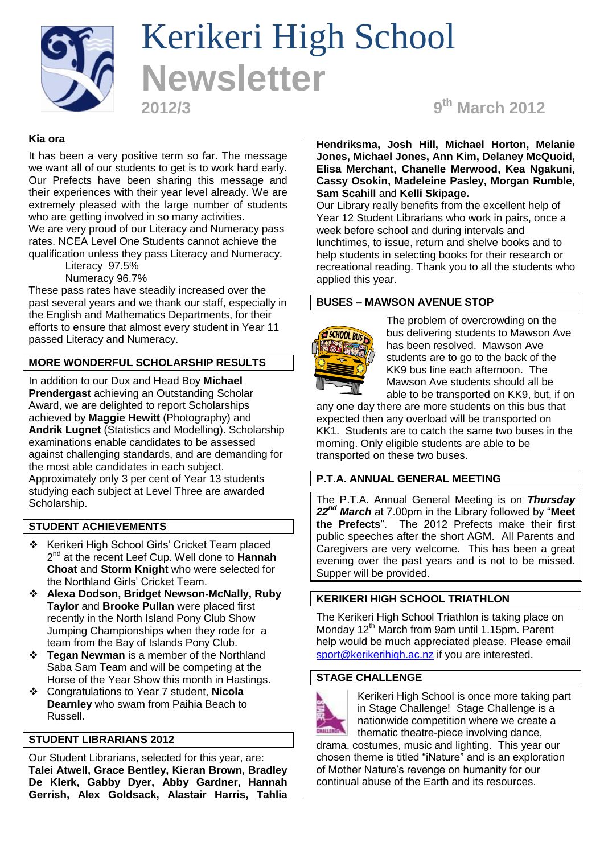

# Kerikeri High School **Newsletter**

**2012/3 9**

**th March 2012**

# **Kia ora**

It has been a very positive term so far. The message we want all of our students to get is to work hard early. Our Prefects have been sharing this message and their experiences with their year level already. We are extremely pleased with the large number of students who are getting involved in so many activities. We are very proud of our Literacy and Numeracy pass rates. NCEA Level One Students cannot achieve the qualification unless they pass Literacy and Numeracy.

Literacy 97.5%

Numeracy 96.7%

These pass rates have steadily increased over the past several years and we thank our staff, especially in the English and Mathematics Departments, for their efforts to ensure that almost every student in Year 11 passed Literacy and Numeracy.

# **MORE WONDERFUL SCHOLARSHIP RESULTS**

In addition to our Dux and Head Boy **Michael Prendergast** achieving an Outstanding Scholar Award, we are delighted to report Scholarships achieved by **Maggie Hewitt** (Photography) and **Andrik Lugnet** (Statistics and Modelling). Scholarship examinations enable candidates to be assessed against challenging standards, and are demanding for the most able candidates in each subject. Approximately only 3 per cent of Year 13 students studying each subject at Level Three are awarded Scholarship.

# **STUDENT ACHIEVEMENTS**

- \* Kerikeri High School Girls' Cricket Team placed 2 nd at the recent Leef Cup. Well done to **Hannah Choat** and **Storm Knight** who were selected for the Northland Girls' Cricket Team.
- **Alexa Dodson, Bridget Newson-McNally, Ruby Taylor** and **Brooke Pullan** were placed first recently in the North Island Pony Club Show Jumping Championships when they rode for a team from the Bay of Islands Pony Club.
- **Tegan Newman** is a member of the Northland Saba Sam Team and will be competing at the Horse of the Year Show this month in Hastings.
- Congratulations to Year 7 student, **Nicola Dearnley** who swam from Paihia Beach to Russell.

# **STUDENT LIBRARIANS 2012**

Our Student Librarians, selected for this year, are: **Talei Atwell, Grace Bentley, Kieran Brown, Bradley De Klerk, Gabby Dyer, Abby Gardner, Hannah Gerrish, Alex Goldsack, Alastair Harris, Tahlia**  **Hendriksma, Josh Hill, Michael Horton, Melanie Jones, Michael Jones, Ann Kim, Delaney McQuoid, Elisa Merchant, Chanelle Merwood, Kea Ngakuni, Cassy Osokin, Madeleine Pasley, Morgan Rumble, Sam Scahill** and **Kelli Skipage.**

Our Library really benefits from the excellent help of Year 12 Student Librarians who work in pairs, once a week before school and during intervals and lunchtimes, to issue, return and shelve books and to help students in selecting books for their research or recreational reading. Thank you to all the students who applied this year.

#### **BUSES – MAWSON AVENUE STOP**



The problem of overcrowding on the bus delivering students to Mawson Ave has been resolved. Mawson Ave students are to go to the back of the KK9 bus line each afternoon. The Mawson Ave students should all be able to be transported on KK9, but, if on

any one day there are more students on this bus that expected then any overload will be transported on KK1. Students are to catch the same two buses in the morning. Only eligible students are able to be transported on these two buses.

# **P.T.A. ANNUAL GENERAL MEETING**

The P.T.A. Annual General Meeting is on *Thursday 22nd March* at 7.00pm in the Library followed by "**Meet the Prefects**". The 2012 Prefects make their first public speeches after the short AGM. All Parents and Caregivers are very welcome. This has been a great evening over the past years and is not to be missed. Supper will be provided.

# **KERIKERI HIGH SCHOOL TRIATHLON**

The Kerikeri High School Triathlon is taking place on Monday 12<sup>th</sup> March from 9am until 1.15pm. Parent help would be much appreciated please. Please email [sport@kerikerihigh.ac.nz](mailto:sport@kerikerihigh.ac.nz) if you are interested.

#### **STAGE CHALLENGE**



Kerikeri High School is once more taking part in Stage Challenge! Stage Challenge is a nationwide competition where we create a thematic theatre-piece involving dance,

drama, costumes, music and lighting. This year our chosen theme is titled "iNature" and is an exploration of Mother Nature's revenge on humanity for our continual abuse of the Earth and its resources.